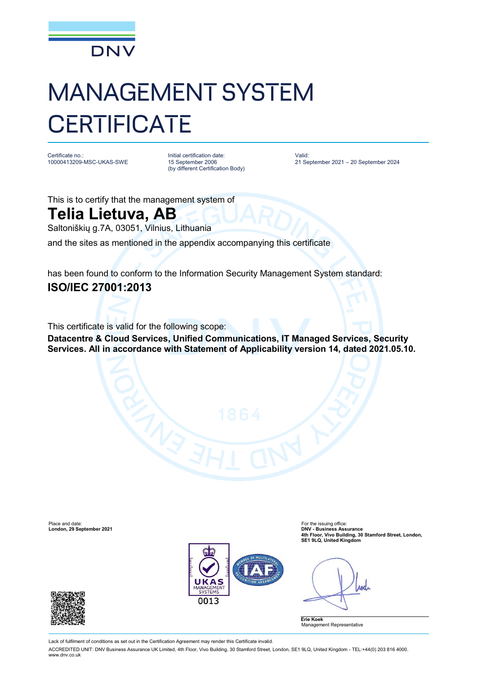

## MANAGEMENT SYSTEM **CERTIFICATE**

Certificate no.: 10000413209-MSC-UKAS-SWE Initial certification date: 15 September 2006 (by different Certification Body) Valid: 21 September 2021 – 20 September 2024

This is to certify that the management system of

## **Telia Lietuva, AB**

Saltoniškių g.7A, 03051, Vilnius, Lithuania

and the sites as mentioned in the appendix accompanying this certificate

has been found to conform to the Information Security Management System standard: **ISO/IEC 27001:2013**

This certificate is valid for the following scope:

**Datacentre & Cloud Services, Unified Communications, IT Managed Services, Security Services. All in accordance with Statement of Applicability version 14, dated 2021.05.10.**

Place and date:<br> **Place and date:** For the issuing office:<br> **Condon. 29 September 2021 London, 29 September 2021** 



**4th Floor, Vivo Building, 30 Stamford Street, London, SE1 9LQ, United Kingdom**

**Anel** 





Lack of fulfilment of conditions as set out in the Certification Agreement may render this Certificate invalid.

ACCREDITED UNIT: DNV Business Assurance UK Limited, 4th Floor, Vivo Building, 30 Stamford Street, London, SE1 9LQ, United Kingdom - TEL:+44(0) 203 816 4000. [www.dnv.co.uk](http://www.dnv.co.uk)